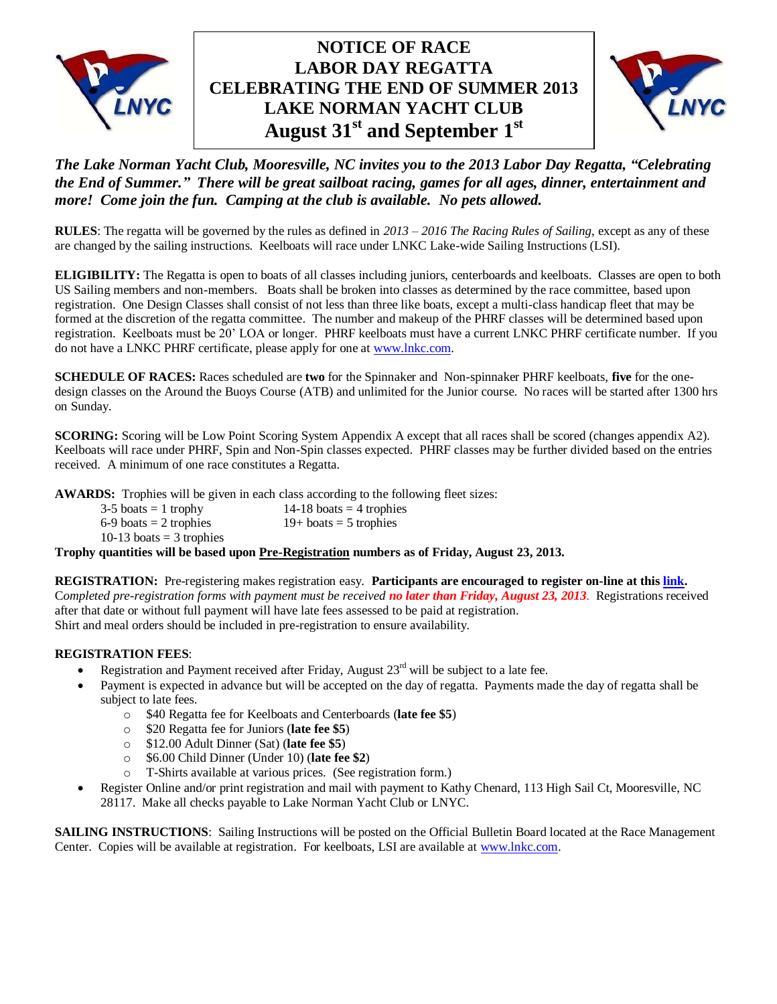

# **CELEBRATING THE END OF SUMMER 2013 NOTICE OF RACE LABOR DAY REGATTA LAKE NORMAN YACHT CLUB August 31 st and September 1 st**



# *The Lake Norman Yacht Club, Mooresville, NC invites you to the 2013 Labor Day Regatta, "Celebrating the End of Summer." There will be great sailboat racing, games for all ages, dinner, entertainment and more! Come join the fun. Camping at the club is available. No pets allowed.*

**RULES**: The regatta will be governed by the rules as defined in *2013 – 2016 The Racing Rules of Sailing*, except as any of these are changed by the sailing instructions. Keelboats will race under LNKC Lake-wide Sailing Instructions (LSI).

**ELIGIBILITY:** The Regatta is open to boats of all classes including juniors, centerboards and keelboats. Classes are open to both US Sailing members and non-members. Boats shall be broken into classes as determined by the race committee, based upon registration. One Design Classes shall consist of not less than three like boats, except a multi-class handicap fleet that may be formed at the discretion of the regatta committee. The number and makeup of the PHRF classes will be determined based upon registration. Keelboats must be 20' LOA or longer. PHRF keelboats must have a current LNKC PHRF certificate number. If you do not have a LNKC PHRF certificate, please apply for one at [www.lnkc.com.](http://www.lnkc.com/)

**SCHEDULE OF RACES:** Races scheduled are **two** for the Spinnaker and Non-spinnaker PHRF keelboats, **five** for the onedesign classes on the Around the Buoys Course (ATB) and unlimited for the Junior course. No races will be started after 1300 hrs on Sunday.

**SCORING:** Scoring will be Low Point Scoring System Appendix A except that all races shall be scored (changes appendix A2). Keelboats will race under PHRF, Spin and Non-Spin classes expected. PHRF classes may be further divided based on the entries received. A minimum of one race constitutes a Regatta.

**AWARDS:** Trophies will be given in each class according to the following fleet sizes:

| $3-5$ boats = 1 trophy                                                                       | 14-18 boats $=$ 4 trophies |  |
|----------------------------------------------------------------------------------------------|----------------------------|--|
| $6-9$ boats = 2 trophies                                                                     | $19+$ boats = 5 trophies   |  |
| 10-13 boats $=$ 3 trophies                                                                   |                            |  |
| Trophy quantities will be based upon Pre-Registration numbers as of Friday, August 23, 2013. |                            |  |

**REGISTRATION:** Pre-registering makes registration easy. **Participants are encouraged to register on-line at thi[s link.](http://www.regattanetwork.com/event/7211)**  C*ompleted pre-registration forms with payment must be received no later than Friday, August 23, 2013*. Registrations received after that date or without full payment will have late fees assessed to be paid at registration. Shirt and meal orders should be included in pre-registration to ensure availability.

### **REGISTRATION FEES**:

- Registration and Payment received after Friday, August  $23<sup>rd</sup>$  will be subject to a late fee.
- Payment is expected in advance but will be accepted on the day of regatta. Payments made the day of regatta shall be subject to late fees.
	- o \$40 Regatta fee for Keelboats and Centerboards (**late fee \$5**)
	- o \$20 Regatta fee for Juniors (**late fee \$5**)
	- o \$12.00 Adult Dinner (Sat) (**late fee \$5**)
	- o \$6.00 Child Dinner (Under 10) (**late fee \$2**)
	- T-Shirts available at various prices. (See registration form.)
- Register Online and/or print registration and mail with payment to Kathy Chenard, 113 High Sail Ct, Mooresville, NC 28117. Make all checks payable to Lake Norman Yacht Club or LNYC.

**SAILING INSTRUCTIONS:** Sailing Instructions will be posted on the Official Bulletin Board located at the Race Management Center. Copies will be available at registration. For keelboats, LSI are available at [www.lnkc.com.](http://www.lnkc.com/)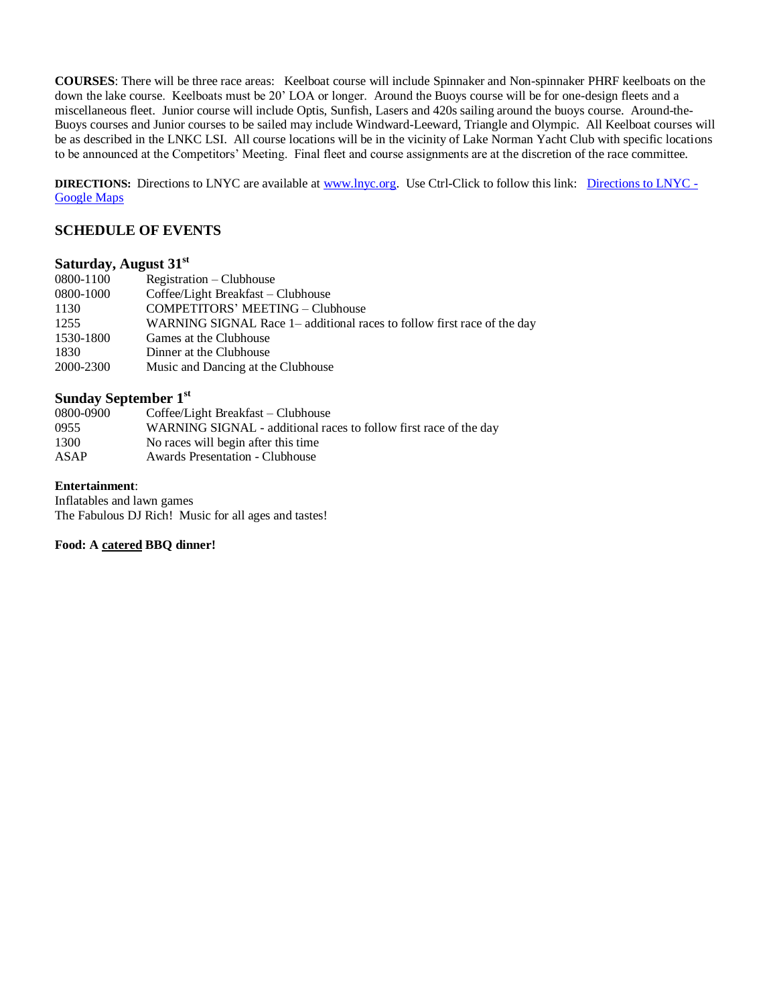**COURSES**: There will be three race areas: Keelboat course will include Spinnaker and Non-spinnaker PHRF keelboats on the down the lake course. Keelboats must be 20' LOA or longer. Around the Buoys course will be for one-design fleets and a miscellaneous fleet. Junior course will include Optis, Sunfish, Lasers and 420s sailing around the buoys course. Around-the-Buoys courses and Junior courses to be sailed may include Windward-Leeward, Triangle and Olympic. All Keelboat courses will be as described in the LNKC LSI. All course locations will be in the vicinity of Lake Norman Yacht Club with specific locations to be announced at the Competitors' Meeting. Final fleet and course assignments are at the discretion of the race committee.

**DIRECTIONS:** Directions to LNYC are available at [www.lnyc.org.](http://www.lnyc.org/) Use Ctrl-Click to follow this link: [Directions to LNYC -](http://maps.google.com/maps/ms?f=q&hl=en&geocode=&ie=UTF8&om=0&msa=0&msid=109004941798231684651.0004473abe3ffd8a753b8&ll=35.561557,-80.894051&spn=0.134059,0.219727&z=12&source=embed) [Google Maps](http://maps.google.com/maps/ms?f=q&hl=en&geocode=&ie=UTF8&om=0&msa=0&msid=109004941798231684651.0004473abe3ffd8a753b8&ll=35.561557,-80.894051&spn=0.134059,0.219727&z=12&source=embed)

### **SCHEDULE OF EVENTS**

## **Saturday, August 31 st**

| 0800-1100 | Registration – Clubhouse                                                |
|-----------|-------------------------------------------------------------------------|
| 0800-1000 | Coffee/Light Breakfast - Clubhouse                                      |
| 1130      | COMPETITORS' MEETING – Clubhouse                                        |
| 1255      | WARNING SIGNAL Race 1– additional races to follow first race of the day |
| 1530-1800 | Games at the Clubhouse                                                  |
| 1830      | Dinner at the Clubhouse                                                 |
| 2000-2300 | Music and Dancing at the Clubhouse                                      |
|           |                                                                         |

## **Sunday September 1 st**

| 0800-0900 | Coffee/Light Breakfast – Clubhouse                                |
|-----------|-------------------------------------------------------------------|
| 0955      | WARNING SIGNAL - additional races to follow first race of the day |
| 1300      | No races will begin after this time.                              |
| ASAP      | <b>Awards Presentation - Clubhouse</b>                            |

#### **Entertainment**:

Inflatables and lawn games The Fabulous DJ Rich! Music for all ages and tastes!

## **Food: A catered BBQ dinner!**